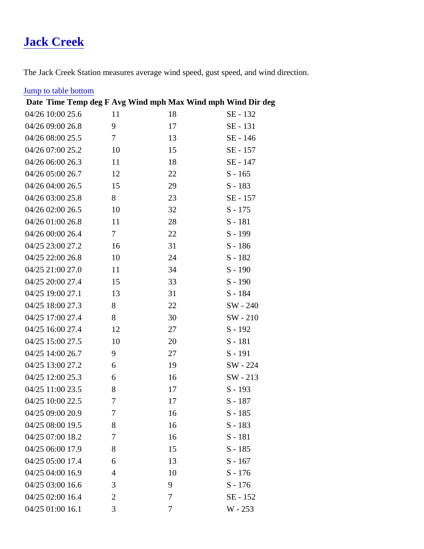## [Jack Creek](https://www.mtavalanche.com/weather/moonlight/jack-creek)

The Jack Creek Station measures average wind speed, gust speed, and wind direction.

## **[Jump to table botto](#page-1-0)m**

| 04/2610:0025.6 | 11             | 18             | SE - 132  |
|----------------|----------------|----------------|-----------|
| 04/2609:0026.8 | 9              | 17             | SE - 131  |
| 04/2608:0025.5 | $\overline{7}$ | 13             | SE - 146  |
| 04/2607:0025.2 | 10             | 15             | SE - 157  |
| 04/2606:0026.3 | 11             | 18             | SE - 147  |
| 04/2605:0026.7 | 12             | 22             | $S - 165$ |
| 04/2604:0026.5 | 15             | 29             | $S - 183$ |
| 04/2603:0025.8 | 8              | 23             | SE - 157  |
| 04/2602:0026.5 | 10             | 32             | $S - 175$ |
| 04/2601:0026.8 | 11             | 28             | $S - 181$ |
| 04/2600:0026.4 | $\overline{7}$ | 22             | $S - 199$ |
| 04/2523:0027.2 | 16             | 31             | $S - 186$ |
| 04/2522:0026.8 | 10             | 24             | $S - 182$ |
| 04/2521:0027.0 | 11             | 34             | $S - 190$ |
| 04/2520:0027.4 | 15             | 33             | $S - 190$ |
| 04/2519:0027.1 | 13             | 31             | $S - 184$ |
| 04/2518:0027.3 | 8              | 22             | SW - 240  |
| 04/2517:0027.4 | 8              | 30             | SW - 210  |
| 04/2516:0027.4 | 12             | 27             | $S - 192$ |
| 04/2515:0027.5 | 10             | 20             | $S - 181$ |
| 04/2514:0026.7 | 9              | 27             | $S - 191$ |
| 04/2513:0027.2 | 6              | 19             | SW - 224  |
| 04/2512:0025.3 | 6              | 16             | SW - 213  |
| 04/2511:0023.5 | 8              | 17             | $S - 193$ |
| 04/2510:0022.5 | $\overline{7}$ | 17             | $S - 187$ |
| 04/2509:0020.9 | 7              | 16             | $S - 185$ |
| 04/2508:0019.5 | 8              | 16             | $S - 183$ |
| 04/2507:0018.2 | 7              | 16             | $S - 181$ |
| 04/2506:0017.9 | 8              | 15             | $S - 185$ |
| 04/2505:0017.4 | 6              | 13             | $S - 167$ |
| 04/2504:0016.9 | 4              | 10             | $S - 176$ |
| 04/2503:0016.6 | 3              | 9              | $S - 176$ |
| 04/2502:0016.4 | $\overline{2}$ | $\overline{7}$ | SE - 152  |
| 04/2501:0016.1 | 3              | $\overline{7}$ | W - 253   |
|                |                |                |           |